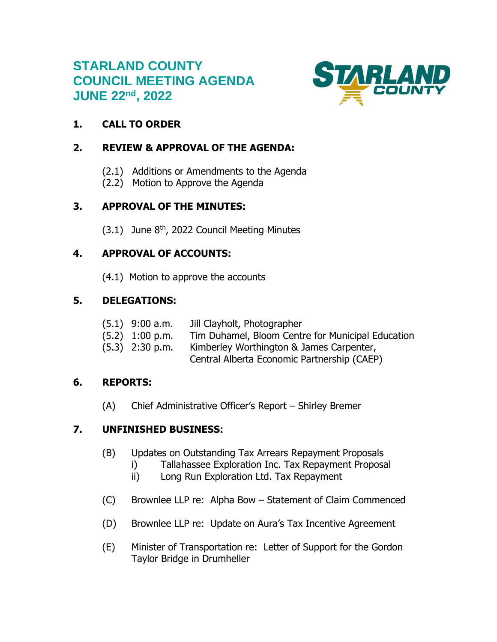# **STARLAND COUNTY COUNCIL MEETING AGENDA JUNE 22nd , 2022**



## **1. CALL TO ORDER**

#### **2. REVIEW & APPROVAL OF THE AGENDA:**

- (2.1) Additions or Amendments to the Agenda
- (2.2) Motion to Approve the Agenda

# **3. APPROVAL OF THE MINUTES:**

 $(3.1)$  June  $8<sup>th</sup>$ , 2022 Council Meeting Minutes

## **4. APPROVAL OF ACCOUNTS:**

(4.1) Motion to approve the accounts

## **5. DELEGATIONS:**

| $(5.1)$ 9:00 a.m. | Jill Clayholt, Photographer                       |
|-------------------|---------------------------------------------------|
| $(5.2)$ 1:00 p.m. | Tim Duhamel, Bloom Centre for Municipal Education |
| $(5.3)$ 2:30 p.m. | Kimberley Worthington & James Carpenter,          |
|                   | Central Alberta Economic Partnership (CAEP)       |

#### **6. REPORTS:**

(A) Chief Administrative Officer's Report – Shirley Bremer

# **7. UNFINISHED BUSINESS:**

- (B) Updates on Outstanding Tax Arrears Repayment Proposals
	- i) Tallahassee Exploration Inc. Tax Repayment Proposal
	- ii) Long Run Exploration Ltd. Tax Repayment
- (C) Brownlee LLP re: Alpha Bow Statement of Claim Commenced
- (D) Brownlee LLP re: Update on Aura's Tax Incentive Agreement
- (E) Minister of Transportation re: Letter of Support for the Gordon Taylor Bridge in Drumheller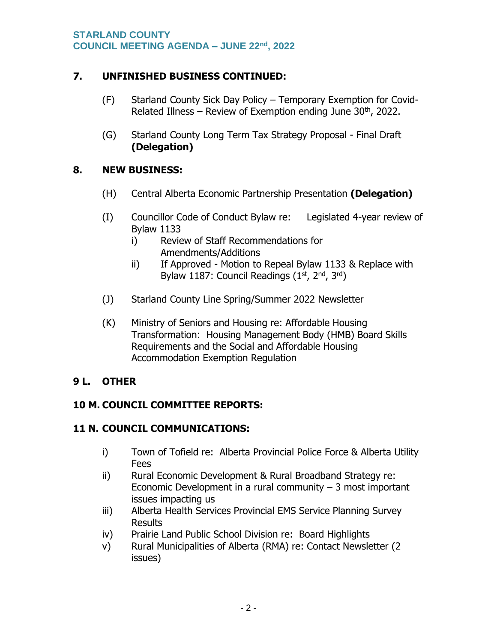#### **7. UNFINISHED BUSINESS CONTINUED:**

- (F) Starland County Sick Day Policy Temporary Exemption for Covid-Related Illness – Review of Exemption ending June  $30<sup>th</sup>$ , 2022.
- (G) Starland County Long Term Tax Strategy Proposal Final Draft **(Delegation)**

## **8. NEW BUSINESS:**

- (H) Central Alberta Economic Partnership Presentation **(Delegation)**
- (I) Councillor Code of Conduct Bylaw re: Legislated 4-year review of Bylaw 1133
	- i) Review of Staff Recommendations for Amendments/Additions
	- ii) If Approved Motion to Repeal Bylaw 1133 & Replace with Bylaw 1187: Council Readings (1<sup>st</sup>, 2<sup>nd</sup>, 3<sup>rd</sup>)
- (J) Starland County Line Spring/Summer 2022 Newsletter
- (K) Ministry of Seniors and Housing re: Affordable Housing Transformation: Housing Management Body (HMB) Board Skills Requirements and the Social and Affordable Housing Accommodation Exemption Regulation

# **9 L. OTHER**

# **10 M. COUNCIL COMMITTEE REPORTS:**

#### **11 N. COUNCIL COMMUNICATIONS:**

- i) Town of Tofield re: Alberta Provincial Police Force & Alberta Utility Fees
- ii) Rural Economic Development & Rural Broadband Strategy re: Economic Development in a rural community  $-3$  most important issues impacting us
- iii) Alberta Health Services Provincial EMS Service Planning Survey **Results**
- iv) Prairie Land Public School Division re: Board Highlights
- v) Rural Municipalities of Alberta (RMA) re: Contact Newsletter (2 issues)